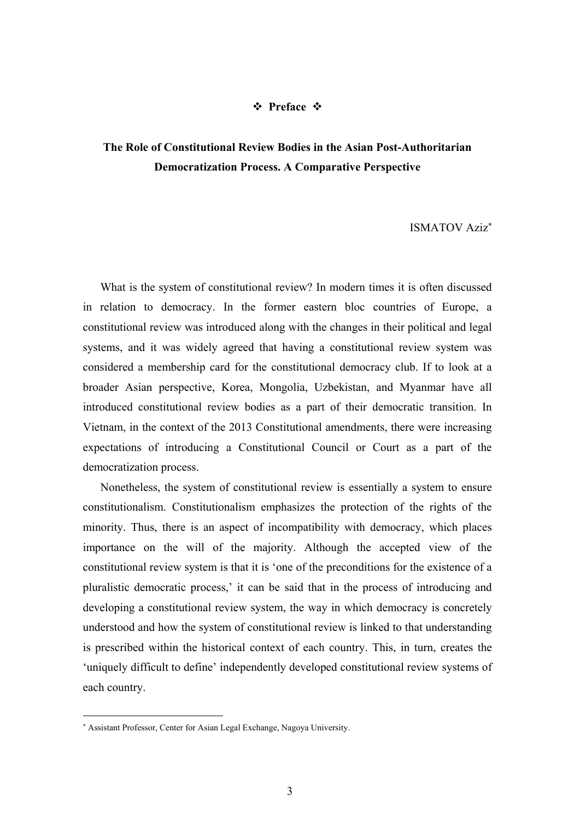## **☆** Preface ☆

## **The Role of Constitutional Review Bodies in the Asian Post-Authoritarian Democratization Process. A Comparative Perspective**

## ISMATOV Aziz

What is the system of constitutional review? In modern times it is often discussed in relation to democracy. In the former eastern bloc countries of Europe, a constitutional review was introduced along with the changes in their political and legal systems, and it was widely agreed that having a constitutional review system was considered a membership card for the constitutional democracy club. If to look at a broader Asian perspective, Korea, Mongolia, Uzbekistan, and Myanmar have all introduced constitutional review bodies as a part of their democratic transition. In Vietnam, in the context of the 2013 Constitutional amendments, there were increasing expectations of introducing a Constitutional Council or Court as a part of the democratization process.

Nonetheless, the system of constitutional review is essentially a system to ensure constitutionalism. Constitutionalism emphasizes the protection of the rights of the minority. Thus, there is an aspect of incompatibility with democracy, which places importance on the will of the majority. Although the accepted view of the constitutional review system is that it is 'one of the preconditions for the existence of a pluralistic democratic process,' it can be said that in the process of introducing and developing a constitutional review system, the way in which democracy is concretely understood and how the system of constitutional review is linked to that understanding is prescribed within the historical context of each country. This, in turn, creates the 'uniquely difficult to define' independently developed constitutional review systems of each country.

1

Assistant Professor, Center for Asian Legal Exchange, Nagoya University.